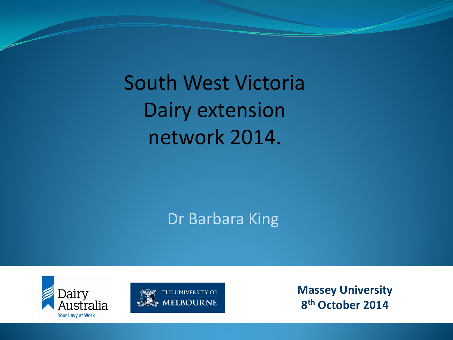South West Victoria Dairy extension network 2014.

Dr Barbara King





**Massey University 8th October 2014**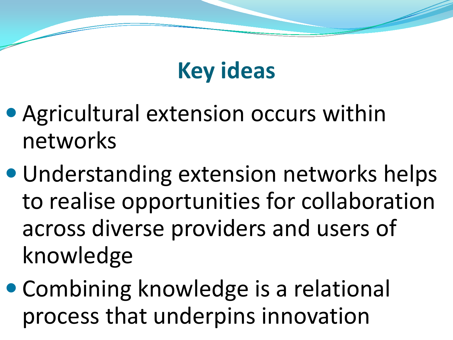## **Key ideas**

- Agricultural extension occurs within networks
- Understanding extension networks helps to realise opportunities for collaboration across diverse providers and users of knowledge
- Combining knowledge is a relational process that underpins innovation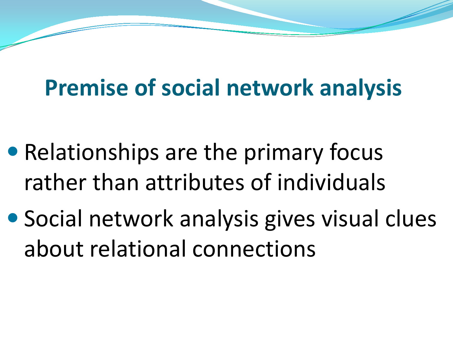## **Premise of social network analysis**

- Relationships are the primary focus rather than attributes of individuals
- Social network analysis gives visual clues about relational connections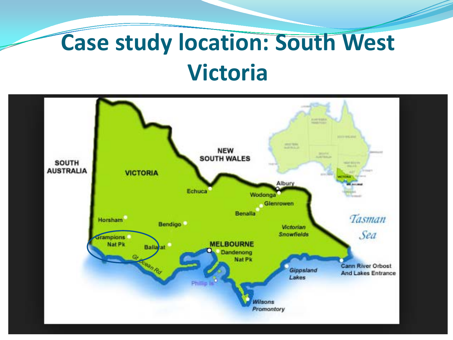## **Case study location: South West Victoria**

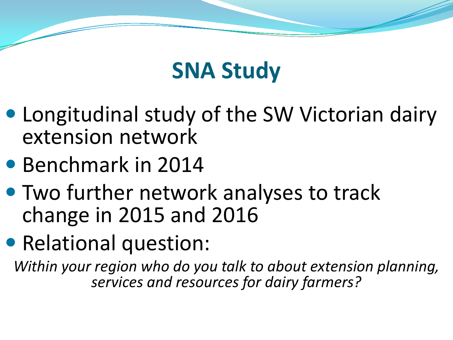

- Longitudinal study of the SW Victorian dairy extension network
- Benchmark in 2014
- Two further network analyses to track change in 2015 and 2016
- Relational question:

*Within your region who do you talk to about extension planning, services and resources for dairy farmers?*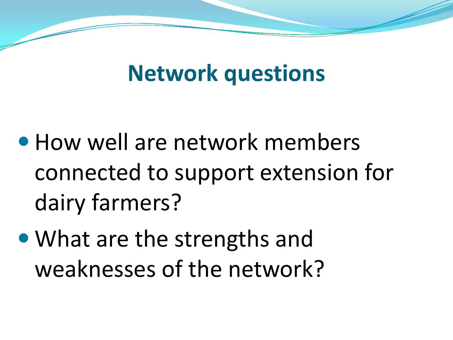#### **Network questions**

- How well are network members connected to support extension for dairy farmers?
- What are the strengths and weaknesses of the network?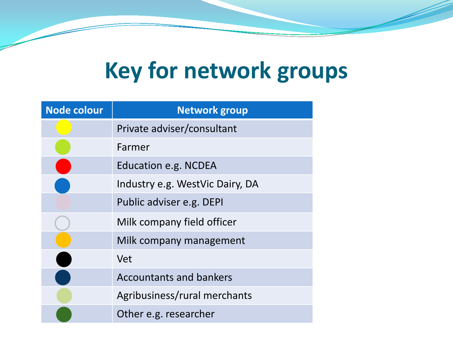## **Key for network groups**

| <b>Node colour</b> | <b>Network group</b>            |
|--------------------|---------------------------------|
|                    | Private adviser/consultant      |
|                    | Farmer                          |
|                    | Education e.g. NCDEA            |
|                    | Industry e.g. WestVic Dairy, DA |
|                    | Public adviser e.g. DEPI        |
|                    | Milk company field officer      |
|                    | Milk company management         |
|                    | <b>Vet</b>                      |
|                    | <b>Accountants and bankers</b>  |
|                    | Agribusiness/rural merchants    |
|                    | Other e.g. researcher           |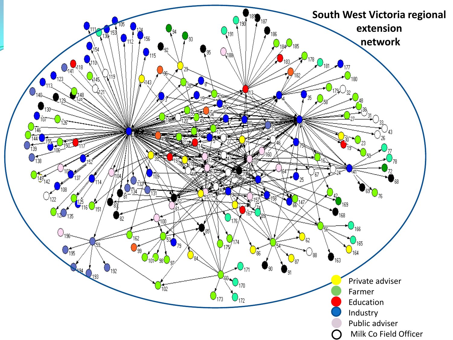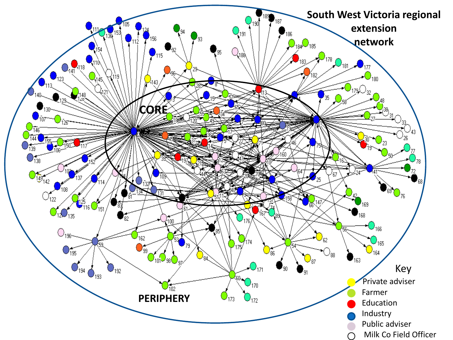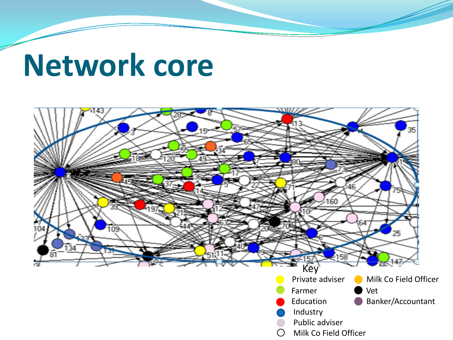# **Network core**

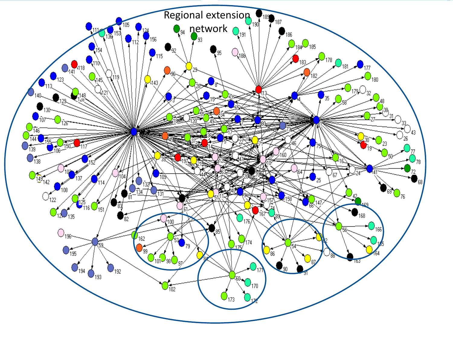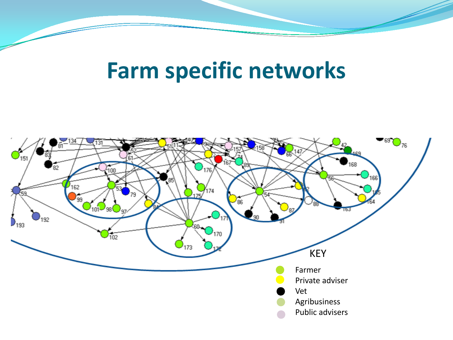#### **Farm specific networks**

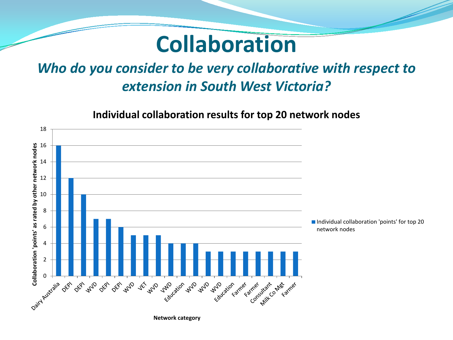#### **Collaboration**

#### *Who do you consider to be very collaborative with respect to extension in South West Victoria?*

**Individual collaboration results for top 20 network nodes**

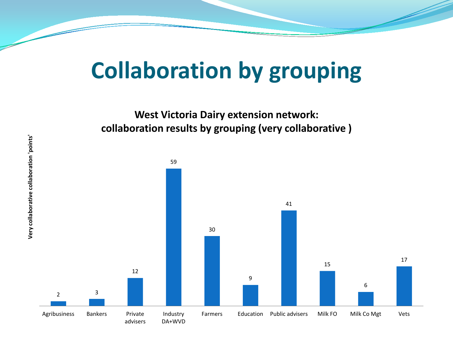## **Collaboration by grouping**

**West Victoria Dairy extension network: collaboration results by grouping (very collaborative )**

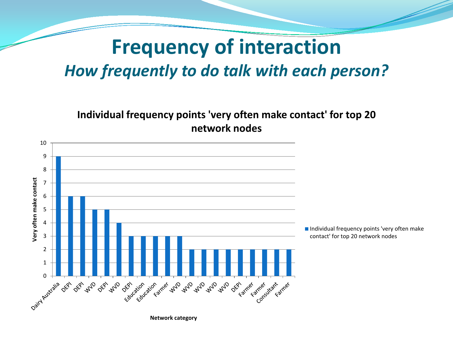#### **Frequency of interaction** *How frequently to do talk with each person?*

**Individual frequency points 'very often make contact' for top 20 network nodes**

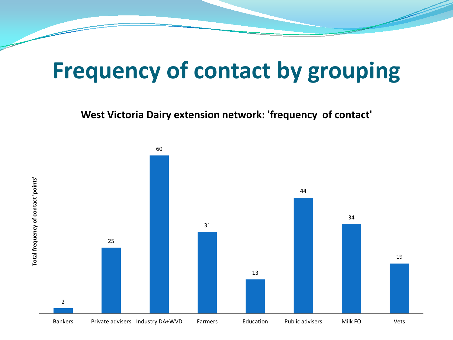### **Frequency of contact by grouping**

**West Victoria Dairy extension network: 'frequency of contact'**

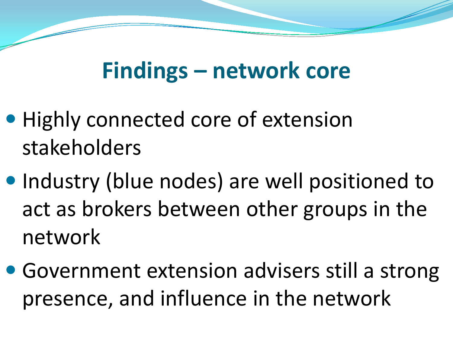### **Findings – network core**

- Highly connected core of extension stakeholders
- Industry (blue nodes) are well positioned to act as brokers between other groups in the network
- Government extension advisers still a strong presence, and influence in the network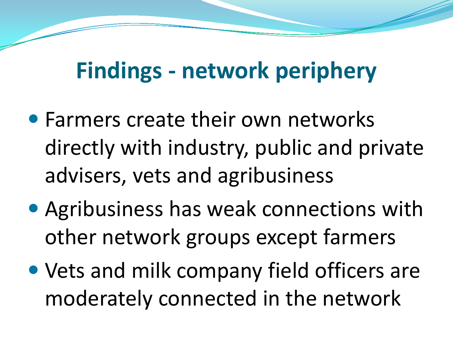### **Findings - network periphery**

- Farmers create their own networks directly with industry, public and private advisers, vets and agribusiness
- Agribusiness has weak connections with other network groups except farmers
- Vets and milk company field officers are moderately connected in the network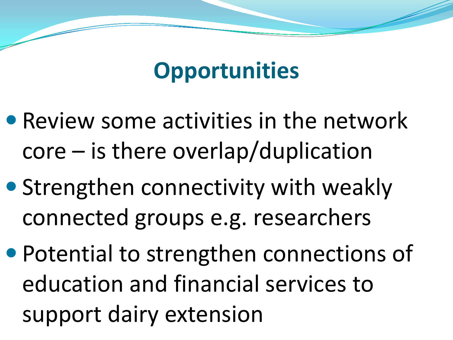### **Opportunities**

- Review some activities in the network core – is there overlap/duplication
- Strengthen connectivity with weakly connected groups e.g. researchers
- Potential to strengthen connections of education and financial services to support dairy extension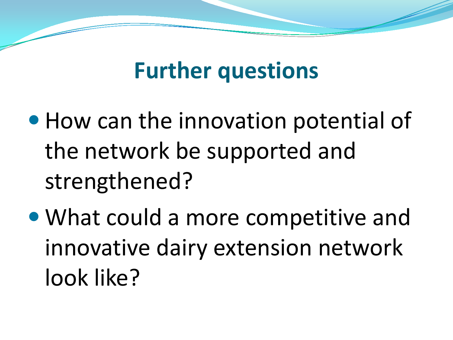#### **Further questions**

- How can the innovation potential of the network be supported and strengthened?
- What could a more competitive and innovative dairy extension network look like?